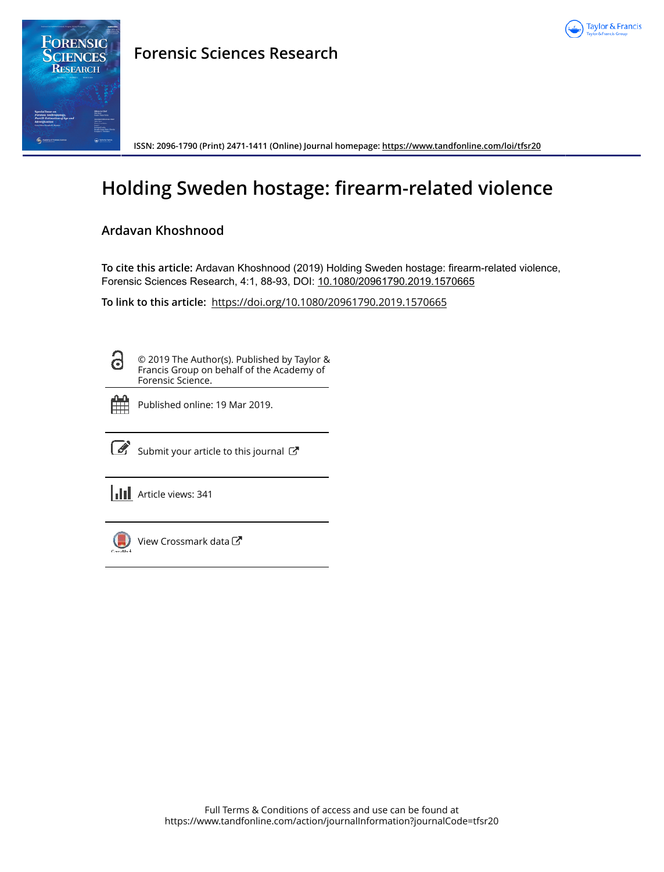



## **Forensic Sciences Research**

**ISSN: 2096-1790 (Print) 2471-1411 (Online) Journal homepage:<https://www.tandfonline.com/loi/tfsr20>**

# **Holding Sweden hostage: firearm-related violence**

## **Ardavan Khoshnood**

**To cite this article:** Ardavan Khoshnood (2019) Holding Sweden hostage: firearm-related violence, Forensic Sciences Research, 4:1, 88-93, DOI: [10.1080/20961790.2019.1570665](https://www.tandfonline.com/action/showCitFormats?doi=10.1080/20961790.2019.1570665)

**To link to this article:** <https://doi.org/10.1080/20961790.2019.1570665>

ධ

© 2019 The Author(s). Published by Taylor & Francis Group on behalf of the Academy of Forensic Science.



Published online: 19 Mar 2019.



 $\overline{\mathcal{C}}$  [Submit your article to this journal](https://www.tandfonline.com/action/authorSubmission?journalCode=tfsr20&show=instructions)  $\mathbb{C}$ 

**III** Article views: 341



[View Crossmark data](http://crossmark.crossref.org/dialog/?doi=10.1080/20961790.2019.1570665&domain=pdf&date_stamp=2019-03-19)<sup>7</sup>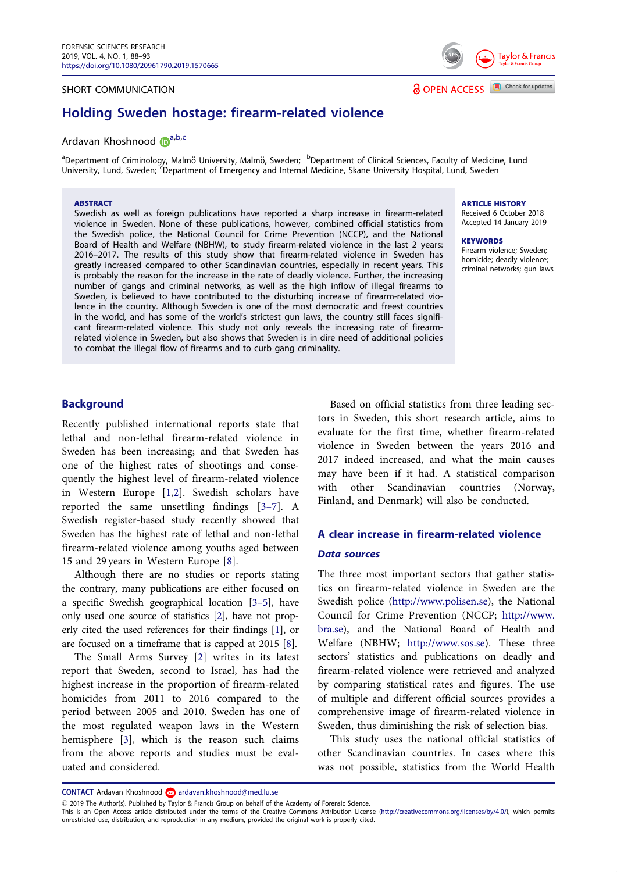#### <span id="page-1-0"></span>SHORT COMMUNICATION

## Holding Sweden hostage: firearm-related violence

### Ardavan Khoshnood D<sup>a,b,c</sup>

<sup>a</sup>Department of Criminology, Malmö University, Malmö, Sweden; <sup>b</sup>Department of Clinical Sciences, Faculty of Medicine, Lund University, Lund, Sweden; <sup>c</sup>Department of Emergency and Internal Medicine, Skane University Hospital, Lund, Sweden

#### ABSTRACT

Swedish as well as foreign publications have reported a sharp increase in firearm-related violence in Sweden. None of these publications, however, combined official statistics from the Swedish police, the National Council for Crime Prevention (NCCP), and the National Board of Health and Welfare (NBHW), to study firearm-related violence in the last 2 years: 2016–2017. The results of this study show that firearm-related violence in Sweden has greatly increased compared to other Scandinavian countries, especially in recent years. This is probably the reason for the increase in the rate of deadly violence. Further, the increasing number of gangs and criminal networks, as well as the high inflow of illegal firearms to Sweden, is believed to have contributed to the disturbing increase of firearm-related violence in the country. Although Sweden is one of the most democratic and freest countries in the world, and has some of the world's strictest gun laws, the country still faces significant firearm-related violence. This study not only reveals the increasing rate of firearmrelated violence in Sweden, but also shows that Sweden is in dire need of additional policies to combat the illegal flow of firearms and to curb gang criminality.

#### ARTICLE HISTORY

**a** OPEN ACCESS **A** Check for updates

Received 6 October 2018 Accepted 14 January 2019

**Taylor & Francis** 

**KEYWORDS** Firearm violence; Sweden;

homicide; deadly violence; criminal networks; gun laws

#### Background

Recently published international reports state that lethal and non-lethal firearm-related violence in Sweden has been increasing; and that Sweden has one of the highest rates of shootings and consequently the highest level of firearm-related violence in Western Europe [\[1](#page-5-0),[2\]](#page-5-0). Swedish scholars have reported the same unsettling findings [[3](#page-5-0)–7]. A Swedish register-based study recently showed that Sweden has the highest rate of lethal and non-lethal firearm-related violence among youths aged between 15 and 29 years in Western Europe [[8\]](#page-6-0).

Although there are no studies or reports stating the contrary, many publications are either focused on a specific Swedish geographical location [\[3](#page-5-0)–5], have only used one source of statistics [\[2](#page-5-0)], have not properly cited the used references for their findings [\[1](#page-5-0)], or are focused on a timeframe that is capped at 2015 [\[8](#page-6-0)].

The Small Arms Survey [[2\]](#page-5-0) writes in its latest report that Sweden, second to Israel, has had the highest increase in the proportion of firearm-related homicides from 2011 to 2016 compared to the period between 2005 and 2010. Sweden has one of the most regulated weapon laws in the Western hemisphere [\[3](#page-5-0)], which is the reason such claims from the above reports and studies must be evaluated and considered.

Based on official statistics from three leading sectors in Sweden, this short research article, aims to evaluate for the first time, whether firearm-related violence in Sweden between the years 2016 and 2017 indeed increased, and what the main causes may have been if it had. A statistical comparison with other Scandinavian countries (Norway, Finland, and Denmark) will also be conducted.

## A clear increase in firearm-related violence Data sources

The three most important sectors that gather statistics on firearm-related violence in Sweden are the Swedish police ([http://www.polisen.se\)](http://www.polisen.se), the National Council for Crime Prevention (NCCP; [http://www.](http://www.bra.se) [bra.se](http://www.bra.se)), and the National Board of Health and Welfare (NBHW; [http://www.sos.se\)](http://www.sos.se). These three sectors' statistics and publications on deadly and firearm-related violence were retrieved and analyzed by comparing statistical rates and figures. The use of multiple and different official sources provides a comprehensive image of firearm-related violence in Sweden, thus diminishing the risk of selection bias.

This study uses the national official statistics of other Scandinavian countries. In cases where this was not possible, statistics from the World Health

CONTACT Ardavan Khoshnood ardavan.khoshnood@med.lu.se

2019 The Author(s). Published by Taylor & Francis Group on behalf of the Academy of Forensic Science.

This is an Open Access article distributed under the terms of the Creative Commons Attribution License ([http://creativecommons.org/licenses/by/4.0/\)](http://creativecommons.org/licenses/by/4.0/), which permits unrestricted use, distribution, and reproduction in any medium, provided the original work is properly cited.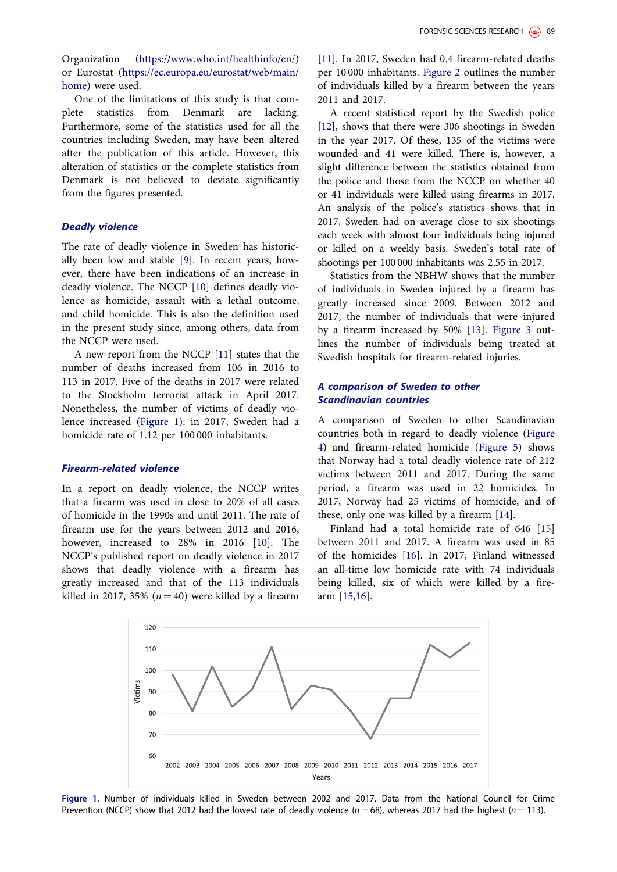<span id="page-2-0"></span>Organization [\(https://www.who.int/healthinfo/en/](https://www.who.int/healthinfo/en/)) or Eurostat ([https://ec.europa.eu/eurostat/web/main/](https://ec.europa.eu/eurostat/web/main/home) [home\)](https://ec.europa.eu/eurostat/web/main/home) were used.

One of the limitations of this study is that complete statistics from Denmark are lacking. Furthermore, some of the statistics used for all the countries including Sweden, may have been altered after the publication of this article. However, this alteration of statistics or the complete statistics from Denmark is not believed to deviate significantly from the figures presented.

#### Deadly violence

The rate of deadly violence in Sweden has historically been low and stable [\[9](#page-6-0)]. In recent years, however, there have been indications of an increase in deadly violence. The NCCP [[10\]](#page-6-0) defines deadly violence as homicide, assault with a lethal outcome, and child homicide. This is also the definition used in the present study since, among others, data from the NCCP were used.

A new report from the NCCP [[11\]](#page-6-0) states that the number of deaths increased from 106 in 2016 to 113 in 2017. Five of the deaths in 2017 were related to the Stockholm terrorist attack in April 2017. Nonetheless, the number of victims of deadly violence increased (Figure 1): in 2017, Sweden had a homicide rate of 1.12 per 100 000 inhabitants.

#### Firearm-related violence

In a report on deadly violence, the NCCP writes that a firearm was used in close to 20% of all cases of homicide in the 1990s and until 2011. The rate of firearm use for the years between 2012 and 2016, however, increased to 28% in 2016 [[10\]](#page-6-0). The NCCP's published report on deadly violence in 2017 shows that deadly violence with a firearm has greatly increased and that of the 113 individuals killed in 2017, 35% ( $n = 40$ ) were killed by a firearm

[\[11](#page-6-0)]. In 2017, Sweden had 0.4 firearm-related deaths per 10 000 inhabitants. [Figure 2](#page-3-0) outlines the number of individuals killed by a firearm between the years 2011 and 2017.

A recent statistical report by the Swedish police [\[12](#page-6-0)], shows that there were 306 shootings in Sweden in the year 2017. Of these, 135 of the victims were wounded and 41 were killed. There is, however, a slight difference between the statistics obtained from the police and those from the NCCP on whether 40 or 41 individuals were killed using firearms in 2017. An analysis of the police's statistics shows that in 2017, Sweden had on average close to six shootings each week with almost four individuals being injured or killed on a weekly basis. Sweden's total rate of shootings per 100 000 inhabitants was 2.55 in 2017.

Statistics from the NBHW shows that the number of individuals in Sweden injured by a firearm has greatly increased since 2009. Between 2012 and 2017, the number of individuals that were injured by a firearm increased by 50% [\[13](#page-6-0)]. [Figure 3](#page-3-0) outlines the number of individuals being treated at Swedish hospitals for firearm-related injuries.

#### A comparison of Sweden to other Scandinavian countries

A comparison of Sweden to other Scandinavian countries both in regard to deadly violence [\(Figure](#page-3-0) [4\)](#page-3-0) and firearm-related homicide ([Figure 5](#page-4-0)) shows that Norway had a total deadly violence rate of 212 victims between 2011 and 2017. During the same period, a firearm was used in 22 homicides. In 2017, Norway had 25 victims of homicide, and of these, only one was killed by a firearm [\[14\]](#page-6-0).

Finland had a total homicide rate of 646 [[15\]](#page-6-0) between 2011 and 2017. A firearm was used in 85 of the homicides [[16\]](#page-6-0). In 2017, Finland witnessed an all-time low homicide rate with 74 individuals being killed, six of which were killed by a firearm [[15,16](#page-6-0)].



Figure 1. Number of individuals killed in Sweden between 2002 and 2017. Data from the National Council for Crime Prevention (NCCP) show that 2012 had the lowest rate of deadly violence ( $n = 68$ ), whereas 2017 had the highest ( $n = 113$ ).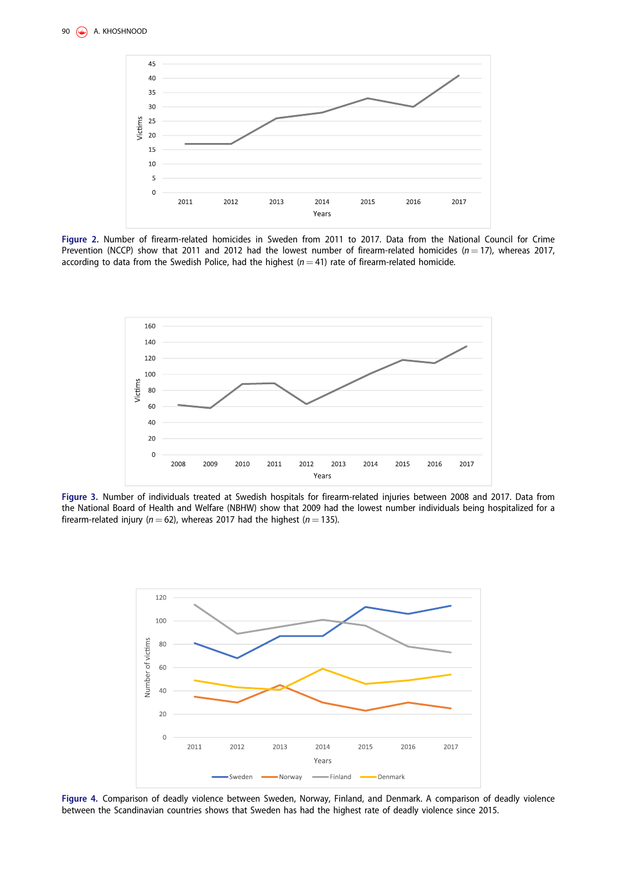<span id="page-3-0"></span>

Figure 2. Number of firearm-related homicides in Sweden from 2011 to 2017. Data from the National Council for Crime Prevention (NCCP) show that 2011 and 2012 had the lowest number of firearm-related homicides ( $n = 17$ ), whereas 2017, according to data from the Swedish Police, had the highest ( $n = 41$ ) rate of firearm-related homicide.



Figure 3. Number of individuals treated at Swedish hospitals for firearm-related injuries between 2008 and 2017. Data from the National Board of Health and Welfare (NBHW) show that 2009 had the lowest number individuals being hospitalized for a firearm-related injury ( $n = 62$ ), whereas 2017 had the highest ( $n = 135$ ).



Figure 4. Comparison of deadly violence between Sweden, Norway, Finland, and Denmark. A comparison of deadly violence between the Scandinavian countries shows that Sweden has had the highest rate of deadly violence since 2015.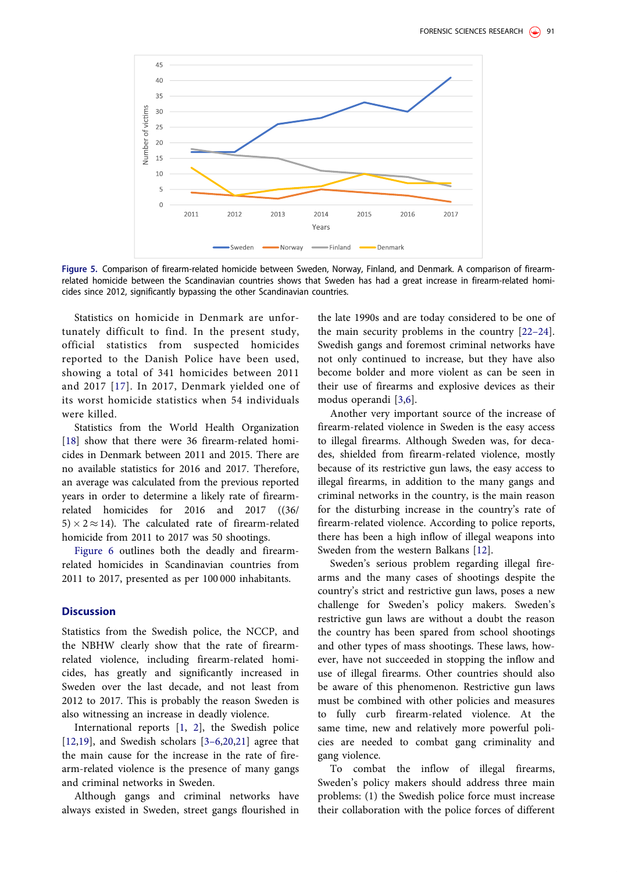<span id="page-4-0"></span>

Figure 5. Comparison of firearm-related homicide between Sweden, Norway, Finland, and Denmark. A comparison of firearmrelated homicide between the Scandinavian countries shows that Sweden has had a great increase in firearm-related homicides since 2012, significantly bypassing the other Scandinavian countries.

Statistics on homicide in Denmark are unfortunately difficult to find. In the present study, official statistics from suspected homicides reported to the Danish Police have been used, showing a total of 341 homicides between 2011 and 2017 [[17](#page-6-0)]. In 2017, Denmark yielded one of its worst homicide statistics when 54 individuals were killed.

Statistics from the World Health Organization [\[18](#page-6-0)] show that there were 36 firearm-related homicides in Denmark between 2011 and 2015. There are no available statistics for 2016 and 2017. Therefore, an average was calculated from the previous reported years in order to determine a likely rate of firearmrelated homicides for 2016 and 2017 ((36/  $5 \times 2 \approx 14$ ). The calculated rate of firearm-related homicide from 2011 to 2017 was 50 shootings.

[Figure 6](#page-5-0) outlines both the deadly and firearmrelated homicides in Scandinavian countries from 2011 to 2017, presented as per 100 000 inhabitants.

#### **Discussion**

Statistics from the Swedish police, the NCCP, and the NBHW clearly show that the rate of firearmrelated violence, including firearm-related homicides, has greatly and significantly increased in Sweden over the last decade, and not least from 2012 to 2017. This is probably the reason Sweden is also witnessing an increase in deadly violence.

International reports [\[1](#page-5-0), [2\]](#page-5-0), the Swedish police [\[12](#page-6-0),[19\]](#page-6-0), and Swedish scholars [3–[6,](#page-5-0)[20](#page-6-0),[21\]](#page-6-0) agree that the main cause for the increase in the rate of firearm-related violence is the presence of many gangs and criminal networks in Sweden.

Although gangs and criminal networks have always existed in Sweden, street gangs flourished in

the late 1990s and are today considered to be one of the main security problems in the country [[22](#page-6-0)–24]. Swedish gangs and foremost criminal networks have not only continued to increase, but they have also become bolder and more violent as can be seen in their use of firearms and explosive devices as their modus operandi [\[3](#page-5-0),[6\]](#page-6-0).

Another very important source of the increase of firearm-related violence in Sweden is the easy access to illegal firearms. Although Sweden was, for decades, shielded from firearm-related violence, mostly because of its restrictive gun laws, the easy access to illegal firearms, in addition to the many gangs and criminal networks in the country, is the main reason for the disturbing increase in the country's rate of firearm-related violence. According to police reports, there has been a high inflow of illegal weapons into Sweden from the western Balkans [\[12](#page-6-0)].

Sweden's serious problem regarding illegal firearms and the many cases of shootings despite the country's strict and restrictive gun laws, poses a new challenge for Sweden's policy makers. Sweden's restrictive gun laws are without a doubt the reason the country has been spared from school shootings and other types of mass shootings. These laws, however, have not succeeded in stopping the inflow and use of illegal firearms. Other countries should also be aware of this phenomenon. Restrictive gun laws must be combined with other policies and measures to fully curb firearm-related violence. At the same time, new and relatively more powerful policies are needed to combat gang criminality and gang violence.

To combat the inflow of illegal firearms, Sweden's policy makers should address three main problems: (1) the Swedish police force must increase their collaboration with the police forces of different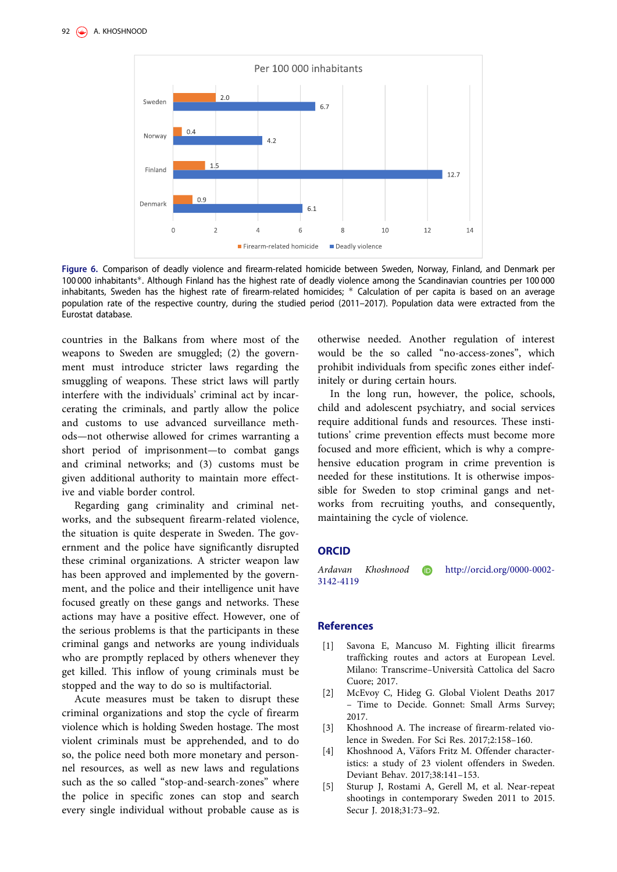<span id="page-5-0"></span>

Figure 6. Comparison of deadly violence and firearm-related homicide between Sweden, Norway, Finland, and Denmark per 100 000 inhabitants\*. Although Finland has the highest rate of deadly violence among the Scandinavian countries per 100 000 inhabitants, Sweden has the highest rate of firearm-related homicides; \* Calculation of per capita is based on an average population rate of the respective country, during the studied period (2011–2017). Population data were extracted from the Eurostat database.

countries in the Balkans from where most of the weapons to Sweden are smuggled; (2) the government must introduce stricter laws regarding the smuggling of weapons. These strict laws will partly interfere with the individuals' criminal act by incarcerating the criminals, and partly allow the police and customs to use advanced surveillance methods—not otherwise allowed for crimes warranting a short period of imprisonment—to combat gangs and criminal networks; and (3) customs must be given additional authority to maintain more effective and viable border control.

Regarding gang criminality and criminal networks, and the subsequent firearm-related violence, the situation is quite desperate in Sweden. The government and the police have significantly disrupted these criminal organizations. A stricter weapon law has been approved and implemented by the government, and the police and their intelligence unit have focused greatly on these gangs and networks. These actions may have a positive effect. However, one of the serious problems is that the participants in these criminal gangs and networks are young individuals who are promptly replaced by others whenever they get killed. This inflow of young criminals must be stopped and the way to do so is multifactorial.

Acute measures must be taken to disrupt these criminal organizations and stop the cycle of firearm violence which is holding Sweden hostage. The most violent criminals must be apprehended, and to do so, the police need both more monetary and personnel resources, as well as new laws and regulations such as the so called "stop-and-search-zones" where the police in specific zones can stop and search every single individual without probable cause as is otherwise needed. Another regulation of interest would be the so called "no-access-zones", which prohibit individuals from specific zones either indefinitely or during certain hours.

In the long run, however, the police, schools, child and adolescent psychiatry, and social services require additional funds and resources. These institutions' crime prevention effects must become more focused and more efficient, which is why a comprehensive education program in crime prevention is needed for these institutions. It is otherwise impossible for Sweden to stop criminal gangs and networks from recruiting youths, and consequently, maintaining the cycle of violence.

#### ORCID

Ardavan Khoshnood http://orcid.org/0000-0002- 3142-4119

#### References

- [\[1\] S](#page-1-0)avona E, Mancuso M. Fighting illicit firearms trafficking routes and actors at European Level. Milano: Transcrime-Università Cattolica del Sacro Cuore; 2017.
- [\[2\] M](#page-1-0)cEvoy C, Hideg G. Global Violent Deaths 2017 – Time to Decide. Gonnet: Small Arms Survey; 2017.
- [\[3\] K](#page-1-0)hoshnood A. The increase of firearm-related violence in Sweden. For Sci Res. 2017;2:158–160.
- [4] Khoshnood A, Väfors Fritz M. Offender characteristics: a study of 23 violent offenders in Sweden. Deviant Behav. 2017;38:141–153.
- [5] Sturup J, Rostami A, Gerell M, et al. Near-repeat shootings in contemporary Sweden 2011 to 2015. Secur J. 2018;31:73–92.